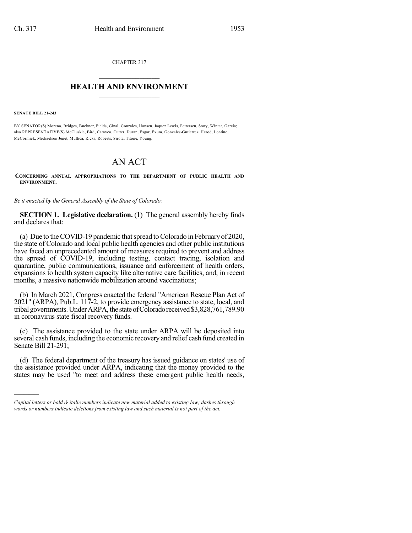CHAPTER 317  $\overline{\phantom{a}}$  . The set of the set of the set of the set of the set of the set of the set of the set of the set of the set of the set of the set of the set of the set of the set of the set of the set of the set of the set o

## **HEALTH AND ENVIRONMENT**  $\_$

**SENATE BILL 21-243**

)))))

BY SENATOR(S) Moreno, Bridges, Buckner, Fields, Ginal, Gonzales, Hansen, Jaquez Lewis, Pettersen, Story, Winter, Garcia; also REPRESENTATIVE(S) McCluskie, Bird, Caraveo, Cutter, Duran, Esgar, Exum, Gonzales-Gutierrez, Herod, Lontine, McCormick, Michaelson Jenet, Mullica, Ricks, Roberts, Sirota, Titone, Young.

## AN ACT

**CONCERNING ANNUAL APPROPRIATIONS TO THE DEPARTMENT OF PUBLIC HEALTH AND ENVIRONMENT.**

*Be it enacted by the General Assembly of the State of Colorado:*

**SECTION 1. Legislative declaration.** (1) The general assembly hereby finds and declares that:

(a) Due to the COVID-19 pandemic that spread to Colorado in February of 2020, the state of Colorado and local public health agencies and other public institutions have faced an unprecedented amount of measures required to prevent and address the spread of COVID-19, including testing, contact tracing, isolation and quarantine, public communications, issuance and enforcement of health orders, expansions to health system capacity like alternative care facilities, and, in recent months, a massive nationwide mobilization around vaccinations;

(b) In March 2021, Congress enacted the federal "American Rescue Plan Act of 2021" (ARPA), Pub.L. 117-2, to provide emergency assistance to state, local, and tribal governments. Under ARPA, the state of Colorado received \$3,828,761,789.90 in coronavirus state fiscal recovery funds.

(c) The assistance provided to the state under ARPA will be deposited into several cash funds, including the economic recovery and relief cash fund created in Senate Bill 21-291;

(d) The federal department of the treasury has issued guidance on states' use of the assistance provided under ARPA, indicating that the money provided to the states may be used "to meet and address these emergent public health needs,

*Capital letters or bold & italic numbers indicate new material added to existing law; dashes through words or numbers indicate deletions from existing law and such material is not part of the act.*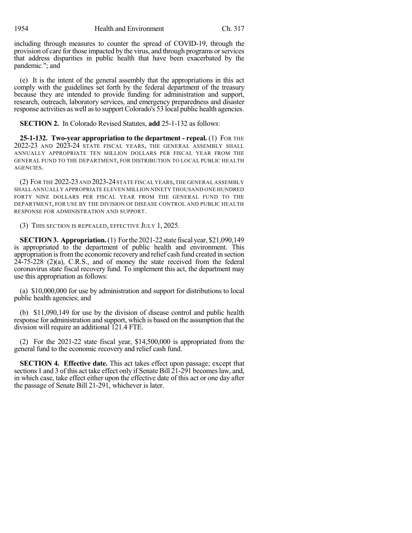including through measures to counter the spread of COVID-19, through the provision of care for those impacted by the virus, and through programs orservices that address disparities in public health that have been exacerbated by the pandemic."; and

(e) It is the intent of the general assembly that the appropriations in this act comply with the guidelines set forth by the federal department of the treasury because they are intended to provide funding for administration and support, research, outreach, laboratory services, and emergency preparedness and disaster response activities as well asto support Colorado's 53 local public health agencies.

**SECTION 2.** In Colorado Revised Statutes, **add** 25-1-132 as follows:

**25-1-132. Two-year appropriation to the department - repeal.** (1) FOR THE 2022-23 AND 2023-24 STATE FISCAL YEARS, THE GENERAL ASSEMBLY SHALL ANNUALLY APPROPRIATE TEN MILLION DOLLARS PER FISCAL YEAR FROM THE GENERAL FUND TO THE DEPARTMENT, FOR DISTRIBUTION TO LOCAL PUBLIC HEALTH AGENCIES.

(2) FOR THE 2022-23AND 2023-24STATE FISCAL YEARS,THE GENERAL ASSEMBLY SHALL ANNUALLY APPROPRIATE ELEVEN MILLION NINETY THOUSAND ONE HUNDRED FORTY NINE DOLLARS PER FISCAL YEAR FROM THE GENERAL FUND TO THE DEPARTMENT, FOR USE BY THE DIVISION OF DISEASE CONTROL AND PUBLIC HEALTH RESPONSE FOR ADMINISTRATION AND SUPPORT.

(3) THIS SECTION IS REPEALED, EFFECTIVE JULY 1, 2025.

**SECTION3. Appropriation.**(1) Forthe 2021-22 state fiscal year, \$21,090,149 is appropriated to the department of public health and environment. This appropriation is from the economic recovery and relief cash fund created in section 24-75-228 (2)(a), C.R.S., and of money the state received from the federal coronavirus state fiscal recovery fund. To implement this act, the department may use this appropriation as follows:

(a) \$10,000,000 for use by administration and support for distributions to local public health agencies; and

(b) \$11,090,149 for use by the division of disease control and public health response for administration and support, which is based on the assumption that the division will require an additional 121.4 FTE.

(2) For the 2021-22 state fiscal year, \$14,500,000 is appropriated from the general fund to the economic recovery and relief cash fund.

**SECTION 4. Effective date.** This act takes effect upon passage; except that sections 1 and 3 of this act take effect only if Senate Bill 21-291 becomeslaw, and, in which case, take effect either upon the effective date of this act or one day after the passage of Senate Bill 21-291, whichever is later.